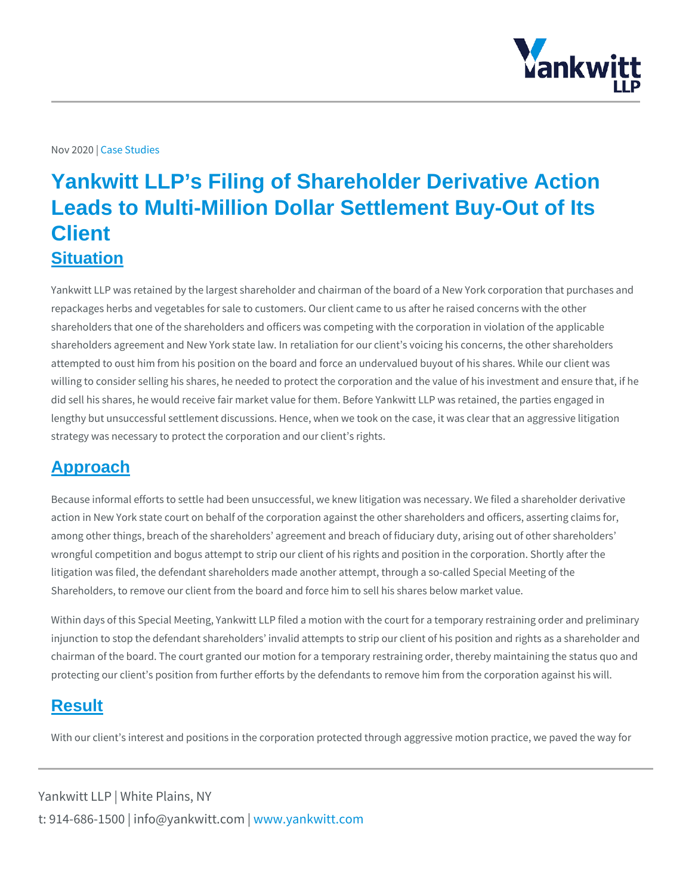Nov 20229sb Studies

## Yankwitt LLP's Filing of Shareholder Derivative Action Leads to Multi-Million Dollar Settlement Buy-Out of Its **Client Situation**

Yankwitt LLP was retained by the largest shareholder and chairman of the board repackages herbs and vegetables for sale to customers. Our client came to us af shareholders that one of the shareholders and officers was competing with the co shareholders agreement and New York state law. In retaliation for our client s vo attempted to oust him from his position on the board and force an undervalued b willing to consider selling his shares, he needed to protect the corporation and t did sell his shares, he would receive fair market value for them. Before Yankwitt lengthy but unsuccessful settlement discussions. Hence, when we took on the ca strategy was necessary to protect the corporation and our client s rights.

## Approach

Because informal efforts to settle had been unsuccessful, we knew litigation was action in New York state court on behalf of the corporation against the other sha among other things, breach of the shareholders agreement and breach of fiducia wrongful competition and bogus attempt to strip our client of his rights and posit litigation was filed, the defendant shareholders made another attempt, through a Shareholders, to remove our client from the board and force him to sell his share

Within days of this Special Meeting, Yankwitt LLP filed a motion with the court for injunction to stop the defendant shareholders invalid attempts to strip our clien chairman of the board. The court granted our motion for a temporary restraining protecting our client s position from further efforts by the defendants to remove

## Result

With our client s interest and positions in the corporation protected through agg

Yankwitt LLP | White Plains, NY t:  $914 - 686 - 1500$  | info@y wawn ky wom it kt wo it between  $p$  m.